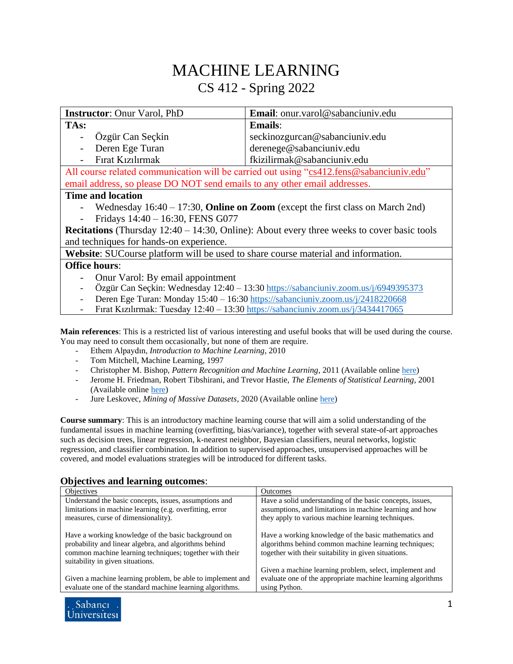## MACHINE LEARNING CS 412 - Spring 2022

| <b>Instructor:</b> Onur Varol, PhD                                                                   | Email: onur.varol@sabanciuniv.edu |  |
|------------------------------------------------------------------------------------------------------|-----------------------------------|--|
| TAs:                                                                                                 | <b>Emails:</b>                    |  |
| Özgür Can Seçkin<br>$\overline{\phantom{a}}$                                                         | seckinozgurcan@sabanciuniv.edu    |  |
| Deren Ege Turan<br>$\overline{\phantom{a}}$                                                          | derenege@sabanciuniv.edu          |  |
| Fırat Kızılırmak                                                                                     | fkizilirmak@sabanciuniv.edu       |  |
| All course related communication will be carried out using "cs412.fens@sabanciuniv.edu"              |                                   |  |
| email address, so please DO NOT send emails to any other email addresses.                            |                                   |  |
| <b>Time and location</b>                                                                             |                                   |  |
| Wednesday $16:40 - 17:30$ , <b>Online on Zoom</b> (except the first class on March 2nd)              |                                   |  |
| Fridays 14:40 - 16:30, FENS G077                                                                     |                                   |  |
| <b>Recitations</b> (Thursday $12:40 - 14:30$ , Online): About every three weeks to cover basic tools |                                   |  |
| and techniques for hands-on experience.                                                              |                                   |  |
| <b>Website:</b> SUCourse platform will be used to share course material and information.             |                                   |  |
| <b>Office hours:</b>                                                                                 |                                   |  |
| Onur Varol: By email appointment                                                                     |                                   |  |

- Özgür Can Seçkin: Wednesday 12:40 13:30 <https://sabanciuniv.zoom.us/j/6949395373>
- Deren Ege Turan: Monday 15:40 16:3[0 https://sabanciuniv.zoom.us/j/2418220668](https://sabanciuniv.zoom.us/j/2418220668)
- Fırat Kızılırmak: Tuesday 12:40 13:30<https://sabanciuniv.zoom.us/j/3434417065>

**Main references**: This is a restricted list of various interesting and useful books that will be used during the course. You may need to consult them occasionally, but none of them are require.

- Ethem Alpaydın, *Introduction to Machine Learning*, 2010
- Tom Mitchell, Machine Learning, 1997
- Christopher M. Bishop, *Pattern Recognition and Machine Learning*, 2011 (Available onlin[e here\)](mailto:http://users.isr.ist.utl.pt/~wurmd/Livros/school/Bishop%20-%20Pattern%20Recognition%20And%20Machine%20Learning%20-%20Springer%20%202006.pdf)
- Jerome H. Friedman, Robert Tibshirani, and Trevor Hastie, *The Elements of Statistical Learning*, 2001 (Available online [here\)](mailto:https://hastie.su.domains/ElemStatLearn/)
- Jure Leskovec, *Mining of Massive Datasets*, 2020 (Available online [here\)](mailto:http://www.mmds.org/)

**Course summary**: This is an introductory machine learning course that will aim a solid understanding of the fundamental issues in machine learning (overfitting, bias/variance), together with several state-of-art approaches such as decision trees, linear regression, k-nearest neighbor, Bayesian classifiers, neural networks, logistic regression, and classifier combination. In addition to supervised approaches, unsupervised approaches will be covered, and model evaluations strategies will be introduced for different tasks.

## **Objectives and learning outcomes**:

| Objectives                                                                                                         | <b>Outcomes</b>                                                                                                       |
|--------------------------------------------------------------------------------------------------------------------|-----------------------------------------------------------------------------------------------------------------------|
| Understand the basic concepts, issues, assumptions and<br>limitations in machine learning (e.g. overfitting, error | Have a solid understanding of the basic concepts, issues,<br>assumptions, and limitations in machine learning and how |
| measures, curse of dimensionality).                                                                                | they apply to various machine learning techniques.                                                                    |
| Have a working knowledge of the basic background on                                                                | Have a working knowledge of the basic mathematics and                                                                 |
| probability and linear algebra, and algorithms behind                                                              | algorithms behind common machine learning techniques;                                                                 |
| common machine learning techniques; together with their<br>suitability in given situations.                        | together with their suitability in given situations.                                                                  |
|                                                                                                                    | Given a machine learning problem, select, implement and                                                               |
| Given a machine learning problem, be able to implement and                                                         | evaluate one of the appropriate machine learning algorithms                                                           |
| evaluate one of the standard machine learning algorithms.                                                          | using Python.                                                                                                         |